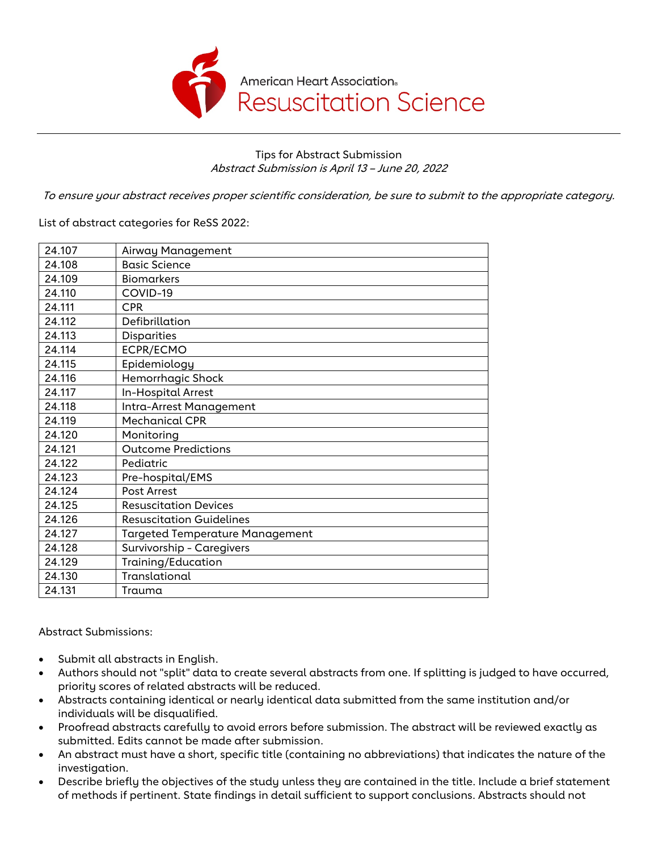

Tips for Abstract Submission Abstract Submission is April 13 – June 20, 2022

To ensure your abstract receives proper scientific consideration, be sure to submit to the appropriate category.

List of abstract categories for ReSS 2022:

| 24.107 | Airway Management                      |
|--------|----------------------------------------|
| 24.108 | <b>Basic Science</b>                   |
| 24.109 | <b>Biomarkers</b>                      |
| 24.110 | COVID-19                               |
| 24.111 | <b>CPR</b>                             |
| 24.112 | Defibrillation                         |
| 24.113 | Disparities                            |
| 24.114 | ECPR/ECMO                              |
| 24.115 | Epidemiology                           |
| 24.116 | Hemorrhagic Shock                      |
| 24.117 | In-Hospital Arrest                     |
| 24.118 | Intra-Arrest Management                |
| 24.119 | <b>Mechanical CPR</b>                  |
| 24.120 | Monitoring                             |
| 24.121 | <b>Outcome Predictions</b>             |
| 24.122 | Pediatric                              |
| 24.123 | Pre-hospital/EMS                       |
| 24.124 | <b>Post Arrest</b>                     |
| 24.125 | <b>Resuscitation Devices</b>           |
| 24.126 | <b>Resuscitation Guidelines</b>        |
| 24.127 | <b>Targeted Temperature Management</b> |
| 24.128 | Survivorship - Caregivers              |
| 24.129 | Training/Education                     |
| 24.130 | Translational                          |
| 24.131 | Trauma                                 |

Abstract Submissions:

- Submit all abstracts in English.
- Authors should not "split" data to create several abstracts from one. If splitting is judged to have occurred, priority scores of related abstracts will be reduced.
- Abstracts containing identical or nearly identical data submitted from the same institution and/or individuals will be disqualified.
- Proofread abstracts carefully to avoid errors before submission. The abstract will be reviewed exactly as submitted. Edits cannot be made after submission.
- An abstract must have a short, specific title (containing no abbreviations) that indicates the nature of the investigation.
- Describe briefly the objectives of the study unless they are contained in the title. Include a brief statement of methods if pertinent. State findings in detail sufficient to support conclusions. Abstracts should not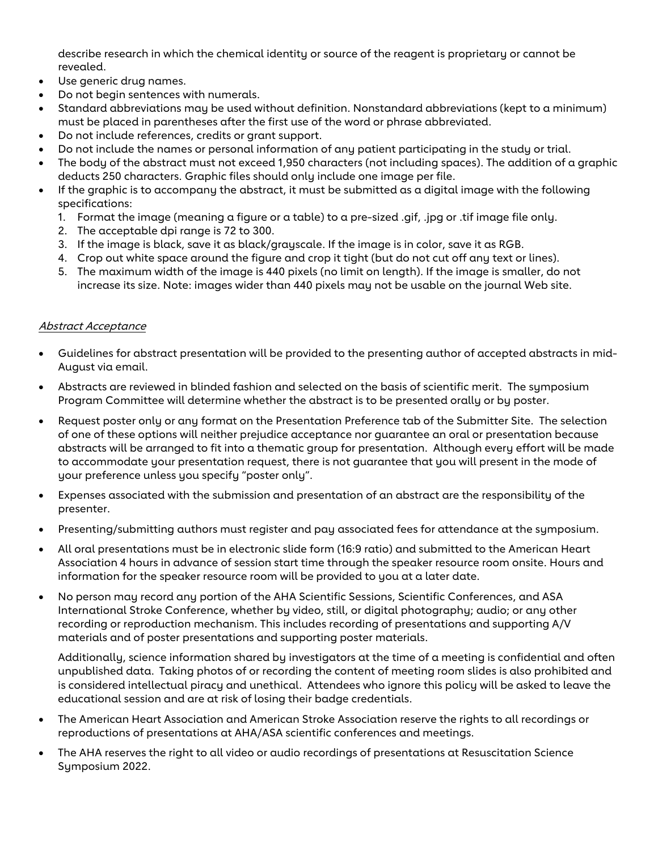describe research in which the chemical identity or source of the reagent is proprietary or cannot be revealed.

- Use generic drug names.
- Do not begin sentences with numerals.
- Standard abbreviations may be used without definition. Nonstandard abbreviations (kept to a minimum) must be placed in parentheses after the first use of the word or phrase abbreviated.
- Do not include references, credits or grant support.
- Do not include the names or personal information of any patient participating in the study or trial.
- The body of the abstract must not exceed 1,950 characters (not including spaces). The addition of a graphic deducts 250 characters. Graphic files should only include one image per file.
- If the graphic is to accompany the abstract, it must be submitted as a digital image with the following specifications:
	- 1. Format the image (meaning a figure or a table) to a pre-sized .gif, .jpg or .tif image file only.
	- 2. The acceptable dpi range is 72 to 300.
	- 3. If the image is black, save it as black/grayscale. If the image is in color, save it as RGB.
	- 4. Crop out white space around the figure and crop it tight (but do not cut off any text or lines).
	- 5. The maximum width of the image is 440 pixels (no limit on length). If the image is smaller, do not increase its size. Note: images wider than 440 pixels may not be usable on the journal Web site.

## Abstract Acceptance

- Guidelines for abstract presentation will be provided to the presenting author of accepted abstracts in mid-August via email.
- Abstracts are reviewed in blinded fashion and selected on the basis of scientific merit. The symposium Program Committee will determine whether the abstract is to be presented orally or by poster.
- Request poster only or any format on the Presentation Preference tab of the Submitter Site. The selection of one of these options will neither prejudice acceptance nor guarantee an oral or presentation because abstracts will be arranged to fit into a thematic group for presentation. Although every effort will be made to accommodate your presentation request, there is not guarantee that you will present in the mode of your preference unless you specify "poster only".
- Expenses associated with the submission and presentation of an abstract are the responsibility of the presenter.
- Presenting/submitting authors must register and pay associated fees for attendance at the symposium.
- All oral presentations must be in electronic slide form (16:9 ratio) and submitted to the American Heart Association 4 hours in advance of session start time through the speaker resource room onsite. Hours and information for the speaker resource room will be provided to you at a later date.
- No person may record any portion of the AHA Scientific Sessions, Scientific Conferences, and ASA International Stroke Conference, whether by video, still, or digital photography; audio; or any other recording or reproduction mechanism. This includes recording of presentations and supporting A/V materials and of poster presentations and supporting poster materials.

Additionally, science information shared by investigators at the time of a meeting is confidential and often unpublished data. Taking photos of or recording the content of meeting room slides is also prohibited and is considered intellectual piracy and unethical. Attendees who ignore this policy will be asked to leave the educational session and are at risk of losing their badge credentials.

- The American Heart Association and American Stroke Association reserve the rights to all recordings or reproductions of presentations at AHA/ASA scientific conferences and meetings.
- The AHA reserves the right to all video or audio recordings of presentations at Resuscitation Science Symposium 2022.